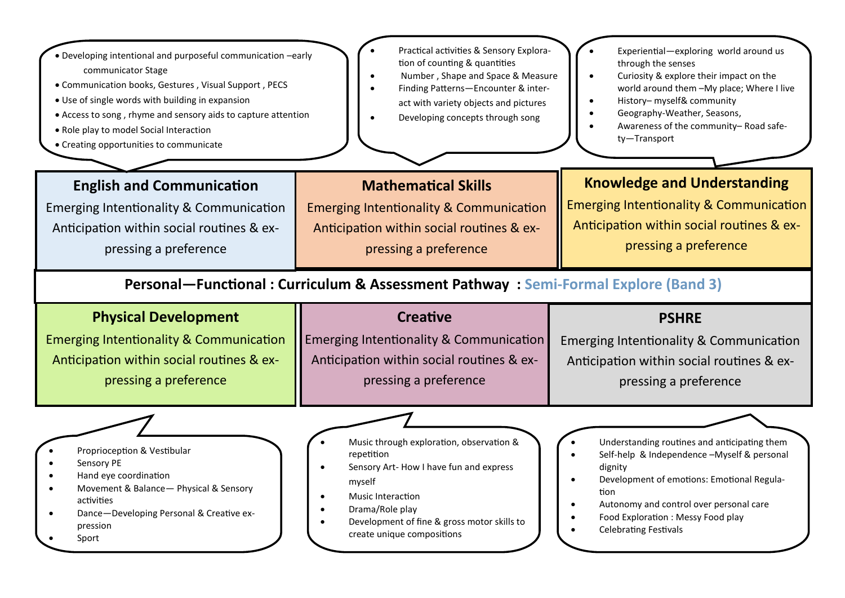